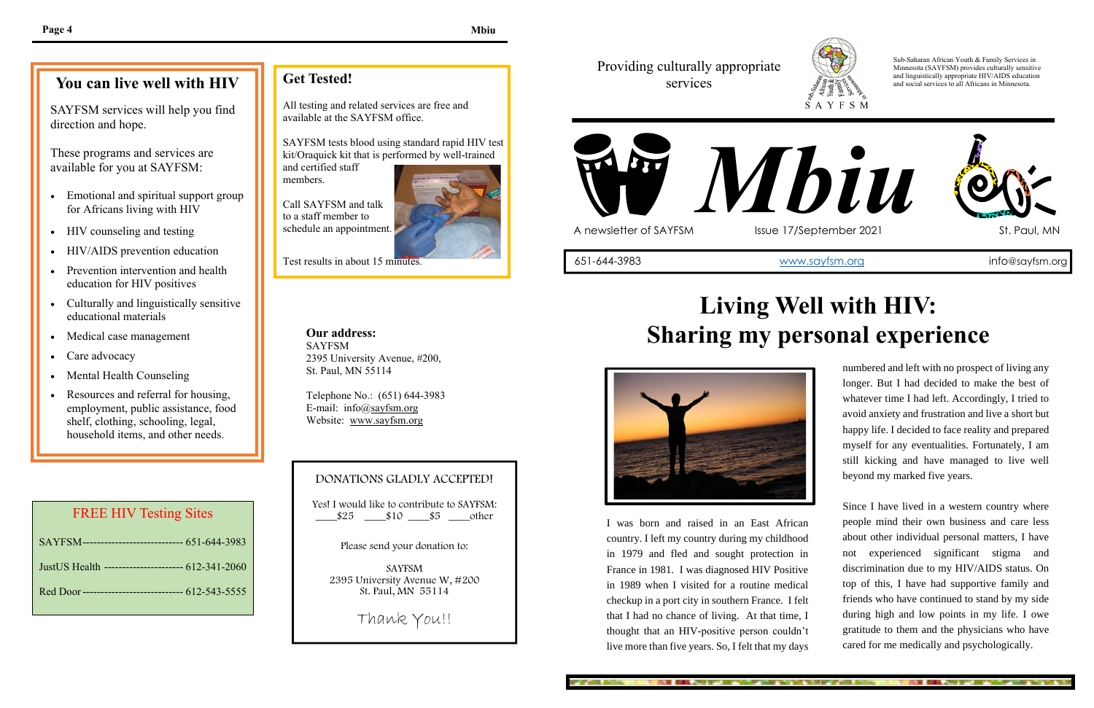numbered and left with no prospect of living any longer. But I had decided to make the best of whatever time I had left. Accordingly, I tried to avoid anxiety and frustration and live a short but happy life. I decided to face reality and prepared myself for any eventualities. Fortunately, I am still kicking and have managed to live well beyond my marked five years.

Since I have lived in a western country where people mind their own business and care less about other individual personal matters, I have not experienced significant stigma and discrimination due to my HIV/AIDS status. On top of this, I have had supportive family and friends who have continued to stand by my side during high and low points in my life. I owe gratitude to them and the physicians who have cared for me medically and psychologically.

KING CALL AND DIVISION WAS VALUE OF A

direction and hope. SAYFSM services will help you find

> I was born and raised in an East African country. I left my country during my childhood in 1979 and fled and sought protection in France in 1981. I was diagnosed HIV Positive in 1989 when I visited for a routine medical checkup in a port city in southern France. I felt that I had no chance of living. At that time, I thought that an HIV-positive person couldn't live more than five years. So, I felt that my days

> > and the collection of the state and



## Providing culturally appropriate services

Yes! I would like to contribute to SAYFSM:  $\frac{\$25}{\$10} \frac{\$10}{\$5}$  other

Sub-Saharan African Youth & Family Services in Minnesota (SAYFSM) provides culturally sensitive and linguistically appropriate HIV/AIDS education and social services to all Africans in Minnesota.



# **Living Well with HIV: Sharing my personal experience**

AND REPORTED THAT WAS TRUTH TO THE REPORT OF WASTE.



# **You can live well with HIV**

These programs and services are available for you at SAYFSM:

- Emotional and spiritual support group for Africans living with HIV
- HIV counseling and testing
- HIV/AIDS prevention education
- Prevention intervention and health education for HIV positives
- Culturally and linguistically sensitive educational materials
- Medical case management
- Care advocacy
- Mental Health Counseling
- Resources and referral for housing, employment, public assistance, food shelf, clothing, schooling, legal, household items, and other needs.

## **Get Tested!**

All testing and related services are free and available at the SAYFSM office.

SAYFSM tests blood using standard rapid HIV test kit/Oraquick kit that is performed by well-trained

and certified staff members.

Call SAYFSM and talk to a staff member to schedule an appointment.



Test results in about 15 minutes.

**Our address:** SAYFSM 2395 University Avenue, #200, St. Paul, MN 55114

Telephone No.: (651) 644-3983 E-mail: info@sayfsm.org Website: www.sayfsm.org

## DONATIONS GLADLY ACCEPTED!

Please send your donation to:

SAYFSM 2395 University Avenue W, #200 St. Paul, MN 55114

Thank You!!

### FREE HIV Testing Sites

| SAYFSM----------------------------- 651-644-3983   |
|----------------------------------------------------|
| Just US Health ---------------------- 612-341-2060 |
| Red Door---------------------------- 612-543-5555  |